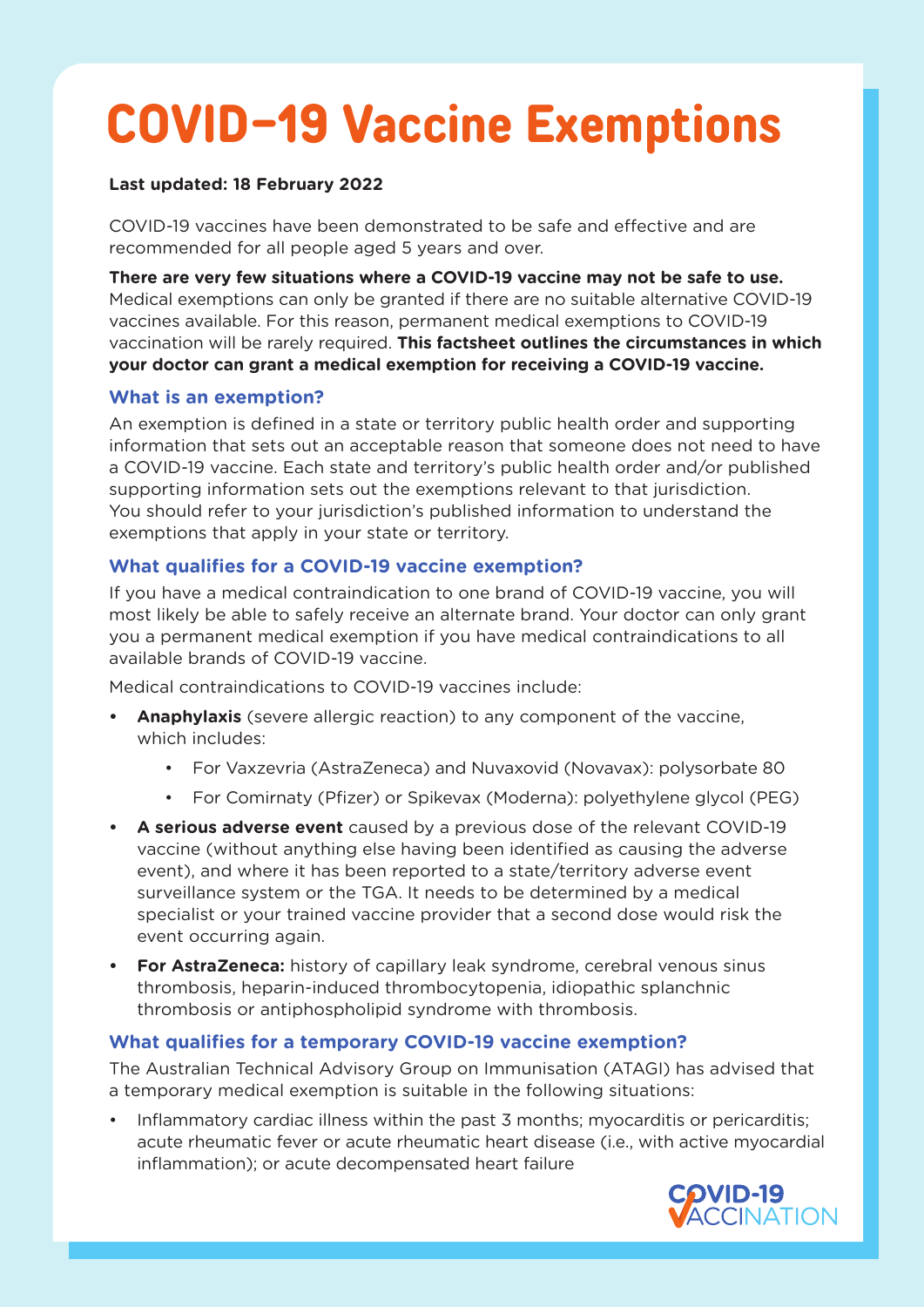# **COVID-19 Vaccine Exemptions**

#### **Last updated: 18 February 2022**

COVID-19 vaccines have been demonstrated to be safe and effective and are recommended for all people aged 5 years and over.

**There are very few situations where a COVID-19 vaccine may not be safe to use.**  Medical exemptions can only be granted if there are no suitable alternative COVID-19 vaccines available. For this reason, permanent medical exemptions to COVID-19 vaccination will be rarely required. **This factsheet outlines the circumstances in which your doctor can grant a medical exemption for receiving a COVID-19 vaccine.**

## **What is an exemption?**

An exemption is defined in a state or territory public health order and supporting information that sets out an acceptable reason that someone does not need to have a COVID-19 vaccine. Each state and territory's public health order and/or published supporting information sets out the exemptions relevant to that jurisdiction. You should refer to your jurisdiction's published information to understand the exemptions that apply in your state or territory.

## **What qualifies for a COVID-19 vaccine exemption?**

If you have a medical contraindication to one brand of COVID-19 vaccine, you will most likely be able to safely receive an alternate brand. Your doctor can only grant you a permanent medical exemption if you have medical contraindications to all available brands of COVID-19 vaccine.

Medical contraindications to COVID-19 vaccines include:

- **• Anaphylaxis** (severe allergic reaction) to any component of the vaccine, which includes:
	- For Vaxzevria (AstraZeneca) and Nuvaxovid (Novavax): polysorbate 80
	- For Comirnaty (Pfizer) or Spikevax (Moderna): polyethylene glycol (PEG)
- **• A serious adverse event** caused by a previous dose of the relevant COVID-19 vaccine (without anything else having been identified as causing the adverse event), and where it has been reported to a state/territory adverse event surveillance system or the TGA. It needs to be determined by a medical specialist or your trained vaccine provider that a second dose would risk the event occurring again.
- **• For AstraZeneca:** history of capillary leak syndrome, cerebral venous sinus thrombosis, heparin-induced thrombocytopenia, idiopathic splanchnic thrombosis or antiphospholipid syndrome with thrombosis.

## **What qualifies for a temporary COVID-19 vaccine exemption?**

The Australian Technical Advisory Group on Immunisation (ATAGI) has advised that a temporary medical exemption is suitable in the following situations:

• Inflammatory cardiac illness within the past 3 months; myocarditis or pericarditis; acute rheumatic fever or acute rheumatic heart disease (i.e., with active myocardial inflammation); or acute decompensated heart failure